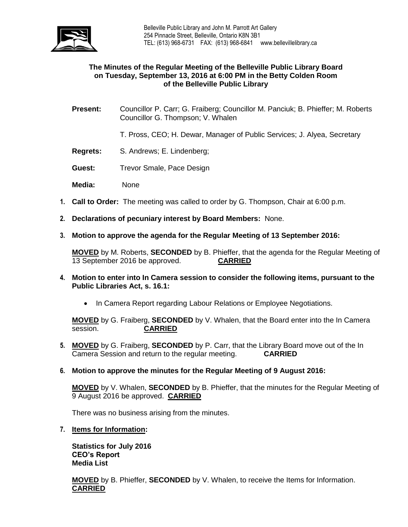

## **The Minutes of the Regular Meeting of the Belleville Public Library Board on Tuesday, September 13, 2016 at 6:00 PM in the Betty Colden Room of the Belleville Public Library**

- **Present:** Councillor P. Carr; G. Fraiberg; Councillor M. Panciuk; B. Phieffer; M. Roberts Councillor G. Thompson; V. Whalen
	- T. Pross, CEO; H. Dewar, Manager of Public Services; J. Alyea, Secretary
- **Regrets:** S. Andrews; E. Lindenberg;
- **Guest:** Trevor Smale, Pace Design
- **Media:** None
- **1. Call to Order:** The meeting was called to order by G. Thompson, Chair at 6:00 p.m.
- **2. Declarations of pecuniary interest by Board Members:** None.
- **3. Motion to approve the agenda for the Regular Meeting of 13 September 2016:**

**MOVED** by M. Roberts, **SECONDED** by B. Phieffer, that the agenda for the Regular Meeting of 13 September 2016 be approved. **CARRIED**

- **4. Motion to enter into In Camera session to consider the following items, pursuant to the Public Libraries Act, s. 16.1:** 
	- In Camera Report regarding Labour Relations or Employee Negotiations.

**MOVED** by G. Fraiberg, **SECONDED** by V. Whalen, that the Board enter into the In Camera session. **CARRIED**

- **5. MOVED** by G. Fraiberg, **SECONDED** by P. Carr, that the Library Board move out of the In Camera Session and return to the regular meeting. **CARRIED**
- **6. Motion to approve the minutes for the Regular Meeting of 9 August 2016:**

**MOVED** by V. Whalen, **SECONDED** by B. Phieffer, that the minutes for the Regular Meeting of 9 August 2016 be approved. **CARRIED**

There was no business arising from the minutes.

**7. Items for Information:**

**Statistics for July 2016 CEO's Report Media List**

**MOVED** by B. Phieffer, **SECONDED** by V. Whalen, to receive the Items for Information. **CARRIED**